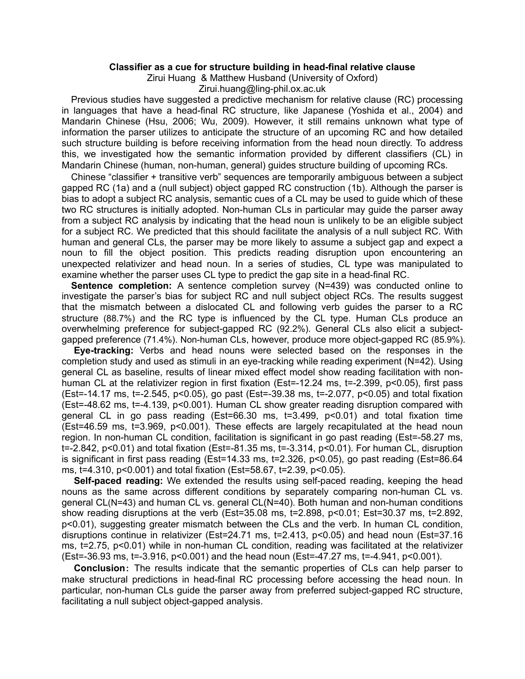## **Classifier as a cue for structure building in head-final relative clause**

Zirui Huang & Matthew Husband (University of Oxford)

Zirui.huang@ling-phil.ox.ac.uk

Previous studies have suggested a predictive mechanism for relative clause (RC) processing in languages that have a head-final RC structure, like Japanese (Yoshida et al., 2004) and Mandarin Chinese (Hsu, 2006; Wu, 2009). However, it still remains unknown what type of information the parser utilizes to anticipate the structure of an upcoming RC and how detailed such structure building is before receiving information from the head noun directly. To address this, we investigated how the semantic information provided by different classifiers (CL) in Mandarin Chinese (human, non-human, general) guides structure building of upcoming RCs.

Chinese "classifier + transitive verb" sequences are temporarily ambiguous between a subject gapped RC (1a) and a (null subject) object gapped RC construction (1b). Although the parser is bias to adopt a subject RC analysis, semantic cues of a CL may be used to guide which of these two RC structures is initially adopted. Non-human CLs in particular may guide the parser away from a subject RC analysis by indicating that the head noun is unlikely to be an eligible subject for a subject RC. We predicted that this should facilitate the analysis of a null subject RC. With human and general CLs, the parser may be more likely to assume a subject gap and expect a noun to fill the object position. This predicts reading disruption upon encountering an unexpected relativizer and head noun. In a series of studies, CL type was manipulated to examine whether the parser uses CL type to predict the gap site in a head-final RC.

**Sentence completion:** A sentence completion survey (N=439) was conducted online to investigate the parser's bias for subject RC and null subject object RCs. The results suggest that the mismatch between a dislocated CL and following verb guides the parser to a RC structure (88.7%) and the RC type is influenced by the CL type. Human CLs produce an overwhelming preference for subject-gapped RC (92.2%). General CLs also elicit a subjectgapped preference (71.4%). Non-human CLs, however, produce more object-gapped RC (85.9%).

**Eye-tracking:** Verbs and head nouns were selected based on the responses in the completion study and used as stimuli in an eye-tracking while reading experiment (N=42). Using general CL as baseline, results of linear mixed effect model show reading facilitation with nonhuman CL at the relativizer region in first fixation (Est=-12.24 ms, t=-2.399, p<0.05), first pass (Est=-14.17 ms, t=-2.545, p<0.05), go past (Est=-39.38 ms, t=-2.077, p<0.05) and total fixation (Est=-48.62 ms, t=-4.139, p<0.001). Human CL show greater reading disruption compared with general CL in go pass reading (Est=66.30 ms, t=3.499, p<0.01) and total fixation time (Est=46.59 ms, t=3.969, p<0.001). These effects are largely recapitulated at the head noun region. In non-human CL condition, facilitation is significant in go past reading (Est=-58.27 ms, t=-2.842, p<0.01) and total fixation (Est=-81.35 ms, t=-3.314, p<0.01). For human CL, disruption is significant in first pass reading (Est=14.33 ms, t=2.326, p<0.05), go past reading (Est=86.64 ms, t=4.310, p<0.001) and total fixation (Est=58.67, t=2.39, p<0.05).

**Self-paced reading:** We extended the results using self-paced reading, keeping the head nouns as the same across different conditions by separately comparing non-human CL vs. general CL(N=43) and human CL vs. general CL(N=40). Both human and non-human conditions show reading disruptions at the verb (Est=35.08 ms, t=2.898, p<0.01; Est=30.37 ms, t=2.892, p<0.01), suggesting greater mismatch between the CLs and the verb. In human CL condition, disruptions continue in relativizer (Est=24.71 ms, t=2.413, p<0.05) and head noun (Est=37.16 ms, t=2.75, p<0.01) while in non-human CL condition, reading was facilitated at the relativizer (Est=-36.93 ms, t=-3.916, p<0.001) and the head noun (Est=-47.27 ms, t=-4.941, p<0.001).

**Conclusion**: The results indicate that the semantic properties of CLs can help parser to make structural predictions in head-final RC processing before accessing the head noun. In particular, non-human CLs guide the parser away from preferred subject-gapped RC structure, facilitating a null subject object-gapped analysis.